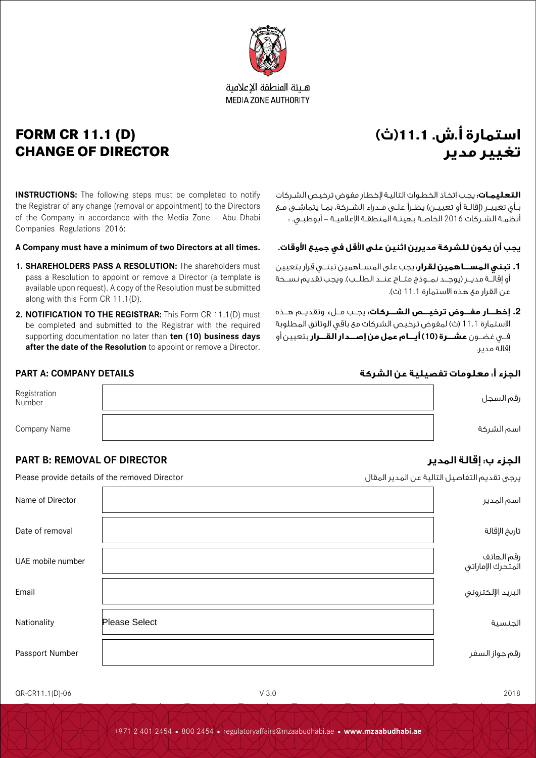

هلئة المنطقة الاعلامية **MEDIA ZONE AUTHORITY** 

# **استمارة أ.ش. 11.1)ث( تغيير مدير**

**INSTRUCTIONS:** The following steps must be completed to notify the Registrar of any change (removal or appointment) to the Directors of the Company in accordance with the Media Zone – Abu Dhabi Companies Regulations 2016:

- **1. SHAREHOLDERS PASS A RESOLUTION:** The shareholders must pass a Resolution to appoint or remove a Director (a template is available upon request). A copy of the Resolution must be submitted along with this Form CR 11.1(D).
- **2. NOTIFICATION TO THE REGISTRAR:** This Form CR 11.1(D) must be completed and submitted to the Registrar with the required supporting documentation no later than **ten (10) business days after the date of the Resolution** to appoint or remove a Director.

### **التعليمـات:** يجـب اتخـاذ الخطـوات التاليـة إلخطـار مفوض ترخيص الشـركات بــأي تغييــر )إقالــة أو تعييــن( يطــرأ علــى مــدراء الشــركة، بمــا يتماشــى مــع أنظمــة الشــركات 2016 الخاصــة بهيئــة المنطقــة اإلعالميــة - أبوظبــي. :

# **A Company must have a minimum of two Directors at all times. .األوقات جميع في األقل على اثنين مديرين للشركة يكون أن يجب**

- **1. تبني المســـاهمين لقرار:** يجب على المســاهمين تبنــى قرار بتعيين أو إقالــة مديــر (يوجــد نمــوذج متــاح عنــد الطلــب). ويجب تقديم نســخة عن القرار مع هذه االستمارة 11.1 )ث(.
- .2 **إخطـــار مفـــوض ترخيـــص الشـــركات:** يجـــب مـــلء وتقديـــم هـــذه الاستمارة 11.1 (ث) لمفوض ترخيص الشركات مع باقي الوثائق المطلوبة فـــي غضـــون **عشـــرة )10( أيـــام عمل من إصـــدار القـــرار** بتعيين أو إقالة مدير.

# **الجزء أ: معلومات تفصيلية عن الشركة DETAILS COMPANY :A PART**

**FORM CR 11.1 (D)** 

**CHANGE OF DIRECTOR**

| Registration<br>Number | رقم السجل  |
|------------------------|------------|
| Company Name           | اسم الشركة |

# **PART B: REMOVAL OF DIRECTOR المدير إقالة :ب الجزء**

| Please provide details of the removed Director |                      | يرجى تقديم التفاصيل التالية عن المدير المقال |
|------------------------------------------------|----------------------|----------------------------------------------|
| Name of Director                               |                      | اسم المدير                                   |
| Date of removal                                |                      | تاريخ الإقالة                                |
| UAE mobile number                              |                      | رقم الهاتف<br>المتحرك الإماراتي              |
| Email                                          |                      | البريد الإلكتروني                            |
| Nationality                                    | <b>Please Select</b> | الجنسية                                      |
| Passport Number                                |                      | رقم جواز السفر                               |

QR-CR11.1(D)-06 V 3.0 2018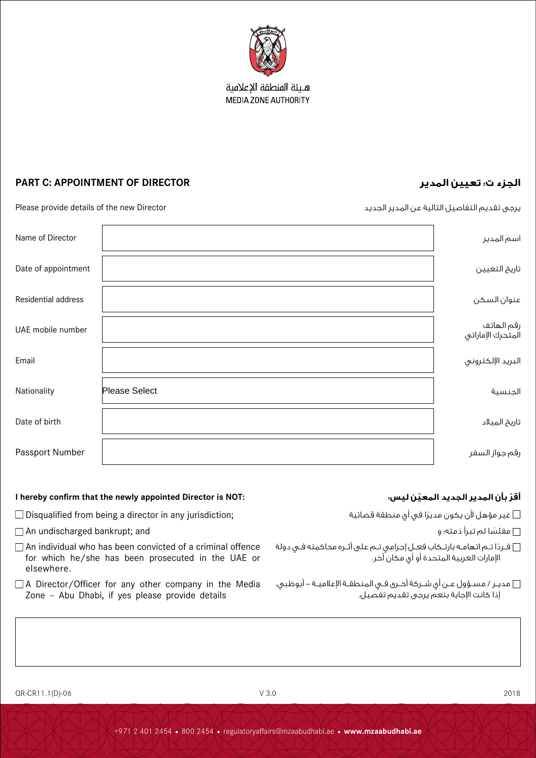### هبئة المنطقة الاعلامية MEDIA ZONE AUTHORITY

# **PART C: APPOINTMENT OF DIRECTOR المدير تعيين :ت الجزء**

| Please provide details of the new Director |                      | يرجى تقديم التفاصيل التالية عن المدير الجديد |
|--------------------------------------------|----------------------|----------------------------------------------|
| Name of Director                           |                      | اسم المدير                                   |
| Date of appointment                        |                      | تاريخ التعيين                                |
| Residential address                        |                      | عنوان السكن                                  |
| UAE mobile number                          |                      | رقم الهاتف<br>المتحرك الإماراتي              |
| Email                                      |                      | البريد الإلكتروني                            |
| Nationality                                | <b>Please Select</b> | الجنسية                                      |
| Date of birth                              |                      | تاريخ الميلاد                                |
| Passport Number                            |                      | رقم جواز السفر                               |

### **I hereby confirm that the newly appointed Director is NOT: :ليس المعين الجديد المدير بأن ّ أقر ّ**

- $\square$  Disqualified from being a director in any jurisdiction;
- □ An undischarged bankrupt; and
- $\Box$  An individual who has been convicted of a criminal offence for which he/she has been prosecuted in the UAE or elsewhere.
- $\Box$  A Director/Officer for any other company in the Media Zone – Abu Dhabi, if yes please provide details

- غير مؤهل لأن يكون مديرًا في أي منطقة قضائية  $\square$ 
	- ً مفلسا لم تبرأ ذمته؛ و
- ً فــردا تــم اتهامــه بارتــكاب فعــل إجرامي تــم على أثــره محاكمته فــي دولة .<br>الإمارات العربية المتحدة أو أي مكان أخر.
- مديــر / مســؤول عــن أي شــركة أخــرى فــي المنطقــة اإلعالميــة أبوظبي، إذا كانت اإلجابة بنعم يرجى تقديم تفصيل.

QR-CR11.1(D)-06 V 3.0 2018